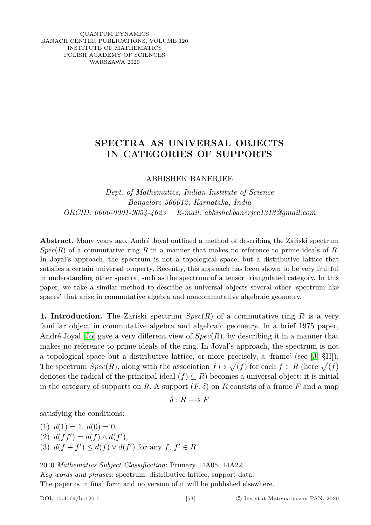QUANTUM DYNAMICS BANACH CENTER PUBLICATIONS, VOLUME 120 INSTITUTE OF MATHEMATICS POLISH ACADEMY OF SCIENCES WARSZAWA 2020

# **SPECTRA AS UNIVERSAL OBJECTS IN CATEGORIES OF SUPPORTS**

ABHISHEK BANERJEE

*Dept. of Mathematics, Indian Institute of Science Bangalore-560012, Karnataka, India ORCID: 0000-0001-9054-4623 E-mail: abhishekbanerjee1313@gmail.com*

**Abstract.** Many years ago, André Joyal outlined a method of describing the Zariski spectrum  $Spec(R)$  of a commutative ring R in a manner that makes no reference to prime ideals of R. In Joyal's approach, the spectrum is not a topological space, but a distributive lattice that satisfies a certain universal property. Recently, this approach has been shown to be very fruitful in understanding other spectra, such as the spectrum of a tensor triangulated category. In this paper, we take a similar method to describe as universal objects several other 'spectrum like spaces' that arise in commutative algebra and noncommutative algebraic geometry.

**1. Introduction.** The Zariski spectrum *Spec*(*R*) of a commutative ring *R* is a very familiar object in commutative algebra and algebraic geometry. In a brief 1975 paper, André Joyal [\[Jo\]](#page-16-0) gave a very different view of *Spec*(*R*), by describing it in a manner that makes no reference to prime ideals of the ring. In Joyal's approach, the spectrum is not a topological space but a distributive lattice, or more precisely, a 'frame' (see [\[J,](#page-16-1) §II]). The spectrum  $Spec(R)$ , along with the association  $f \mapsto \sqrt{(f)}$  for each  $f \in R$  (here  $\sqrt{(f)}$ ) denotes the radical of the principal ideal  $(f) \subseteq R$ ) becomes a universal object; it is initial in the category of supports on *R*. A support  $(F, \delta)$  on *R* consists of a frame *F* and a map

$$
\delta: R \longrightarrow F
$$

satisfying the conditions:

 $(1)$   $d(1) = 1, d(0) = 0,$ (2)  $d(f f') = d(f) \wedge d(f'),$ (3)  $d(f + f') \leq d(f) \vee d(f')$  for any  $f, f' \in R$ .

2010 *Mathematics Subject Classification*: Primary 14A05, 14A22.

*Key words and phrases*: spectrum, distributive lattice, support data.

The paper is in final form and no version of it will be published elsewhere.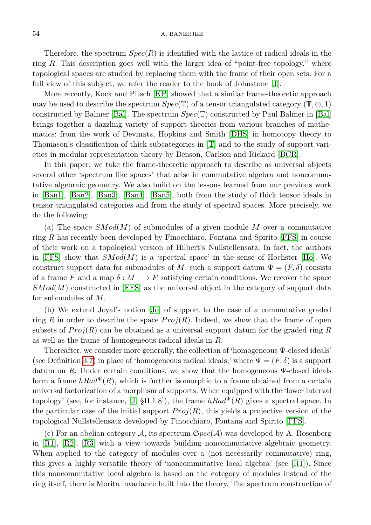## 54 A. BANERJEE

Therefore, the spectrum  $Spec(R)$  is identified with the lattice of radical ideals in the ring *R*. This description goes well with the larger idea of "point-free topology," where topological spaces are studied by replacing them with the frame of their open sets. For a full view of this subject, we refer the reader to the book of Johnstone [\[J\]](#page-16-1).

More recently, Kock and Pitsch [\[KP\]](#page-16-2) showed that a similar frame-theoretic approach may be used to describe the spectrum *Spec*(T) of a tensor triangulated category (T,  $\otimes$ , 1) constructed by Balmer [\[Bal\]](#page-15-0). The spectrum *Spec*(T) constructed by Paul Balmer in [\[Bal\]](#page-15-0) brings together a dazzling variety of support theories from various branches of mathematics: from the work of Devinatz, Hopkins and Smith [\[DHS\]](#page-16-3) in homotopy theory to Thomason's classification of thick subcategories in [\[T\]](#page-16-4) and to the study of support varieties in modular representation theory by Benson, Carlson and Rickard [\[BCR\]](#page-16-5).

In this paper, we take the frame-theoretic approach to describe as universal objects several other 'spectrum like spaces' that arise in commutative algebra and noncommutative algebraic geometry. We also build on the lessons learned from our previous work in [\[Ban1\]](#page-15-1), [\[Ban2\]](#page-16-6), [\[Ban3\]](#page-16-7), [\[Ban4\]](#page-16-8), [\[Ban5\]](#page-16-9), both from the study of thick tensor ideals in tensor triangulated categories and from the study of spectral spaces. More precisely, we do the following:

(a) The space *SMod*(*M*) of submodules of a given module *M* over a commutative ring *R* has recently been developed by Finocchiaro, Fontana and Spirito [\[FFS\]](#page-16-10) in course of their work on a topological version of Hilbert's Nullstellensatz. In fact, the authors in [\[FFS\]](#page-16-10) show that *SMod*(*M*) is a 'spectral space' in the sense of Hochster [\[Ho\]](#page-16-11). We construct support data for submodules of *M*: such a support datum  $\Psi = (F, \delta)$  consists of a frame *F* and a map  $\delta : M \longrightarrow F$  satisfying certain conditions. We recover the space *SMod*(*M*) constructed in [\[FFS\]](#page-16-10) as the universal object in the category of support data for submodules of *M*.

(b) We extend Joyal's notion [\[Jo\]](#page-16-0) of support to the case of a commutative graded ring *R* in order to describe the space  $Proj(R)$ . Indeed, we show that the frame of open subsets of  $Proj(R)$  can be obtained as a universal support datum for the graded ring R as well as the frame of homogeneous radical ideals in *R*.

Thereafter, we consider more generally, the collection of 'homogeneous Ψ-closed ideals' (see Definition [3.7\)](#page-8-0) in place of 'homogeneous radical ideals,' where  $\Psi = (F, \delta)$  is a support datum on *R*. Under certain conditions, we show that the homogeneous  $\Psi$ -closed ideals form a frame  $hRad^{\Psi}(R)$ , which is further isomorphic to a frame obtained from a certain universal factorization of a morphism of supports. When equipped with the 'lower interval topology' (see, for instance, [\[J,](#page-16-1) §II.1.8]), the frame  $hRad^{\Psi}(R)$  gives a spectral space. In the particular case of the initial support  $Proj(R)$ , this yields a projective version of the topological Nullstellensatz developed by Finocchiaro, Fontana and Spirito [\[FFS\]](#page-16-10).

(c) For an abelian category A, its spectrum S*pec*(A) was developed by A. Rosenberg in [\[R1\]](#page-16-12), [\[R2\]](#page-16-13), [\[R3\]](#page-16-14) with a view towards building noncommutative algebraic geometry. When applied to the category of modules over a (not necessarily commutative) ring, this gives a highly versatile theory of 'noncommutative local algebra' (see [\[R1\]](#page-16-12)). Since this noncommutative local algebra is based on the category of modules instead of the ring itself, there is Morita invariance built into the theory. The spectrum construction of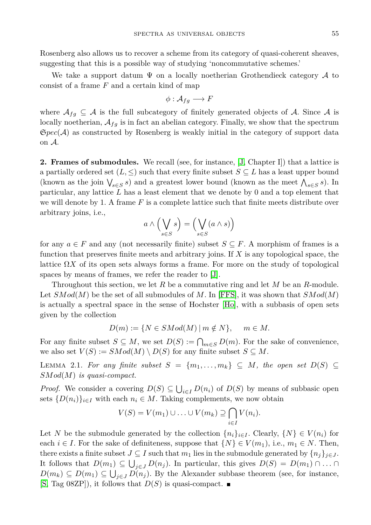Rosenberg also allows us to recover a scheme from its category of quasi-coherent sheaves, suggesting that this is a possible way of studying 'noncommutative schemes.'

We take a support datum  $\Psi$  on a locally noetherian Grothendieck category  $\mathcal A$  to consist of a frame *F* and a certain kind of map

$$
\phi: \mathcal{A}_{fg} \longrightarrow F
$$

where  $\mathcal{A}_{fg} \subseteq \mathcal{A}$  is the full subcategory of finitely generated objects of  $\mathcal{A}$ . Since  $\mathcal{A}$  is locally noetherian,  $A_{fq}$  is in fact an abelian category. Finally, we show that the spectrum S*pec*(A) as constructed by Rosenberg is weakly initial in the category of support data on A.

**2. Frames of submodules.** We recall (see, for instance, [\[J,](#page-16-1) Chapter I]) that a lattice is a partially ordered set  $(L, \leq)$  such that every finite subset  $S \subseteq L$  has a least upper bound (known as the join  $\bigvee_{s \in S} s$ ) and a greatest lower bound (known as the meet  $\bigwedge_{s \in S} s$ ). In particular, any lattice *L* has a least element that we denote by 0 and a top element that we will denote by 1. A frame *F* is a complete lattice such that finite meets distribute over arbitrary joins, i.e.,

$$
a\wedge\Bigl(\bigvee_{s\in S} s\Bigr)=\Bigl(\bigvee_{s\in S} (a\wedge s)\Bigr)
$$

for any  $a \in F$  and any (not necessarily finite) subset  $S \subseteq F$ . A morphism of frames is a function that preserves finite meets and arbitrary joins. If *X* is any topological space, the lattice  $\Omega X$  of its open sets always forms a frame. For more on the study of topological spaces by means of frames, we refer the reader to [\[J\]](#page-16-1).

Throughout this section, we let *R* be a commutative ring and let *M* be an *R*-module. Let  $SMod(M)$  be the set of all submodules of M. In [\[FFS\]](#page-16-10), it was shown that  $SMod(M)$ is actually a spectral space in the sense of Hochster [\[Ho\]](#page-16-11), with a subbasis of open sets given by the collection

$$
D(m) := \{ N \in SMod(M) \mid m \notin N \}, \quad m \in M.
$$

For any finite subset  $S \subseteq M$ , we set  $D(S) := \bigcap_{m \in S} D(m)$ . For the sake of convenience, we also set  $V(S) := SMod(M) \setminus D(S)$  for any finite subset  $S \subseteq M$ .

<span id="page-2-0"></span>LEMMA 2.1. For any finite subset  $S = \{m_1, \ldots, m_k\} \subseteq M$ , the open set  $D(S) \subseteq$ *SMod*(*M*) *is quasi-compact.*

*Proof.* We consider a covering  $D(S) \subseteq \bigcup_{i \in I} D(n_i)$  of  $D(S)$  by means of subbasic open sets  $\{D(n_i)\}_{i\in I}$  with each  $n_i \in M$ . Taking complements, we now obtain

$$
V(S) = V(m_1) \cup \ldots \cup V(m_k) \supseteq \bigcap_{i \in I} V(n_i).
$$

Let *N* be the submodule generated by the collection  $\{n_i\}_{i\in I}$ . Clearly,  $\{N\} \in V(n_i)$  for each  $i \in I$ . For the sake of definiteness, suppose that  $\{N\} \in V(m_1)$ , i.e.,  $m_1 \in N$ . Then, there exists a finite subset  $J \subseteq I$  such that  $m_1$  lies in the submodule generated by  $\{n_j\}_{j \in J}$ . It follows that  $D(m_1) \subseteq \bigcup_{j \in J} D(n_j)$ . In particular, this gives  $D(S) = D(m_1) \cap \ldots \cap$ *D*( $m_k$ ) ⊆ *D*( $m_1$ ) ⊆  $\bigcup_{j \in J} D(n_j)$ . By the Alexander subbase theorem (see, for instance,  $[S, Tag 08ZP],$  $[S, Tag 08ZP],$  it follows that  $D(S)$  is quasi-compact.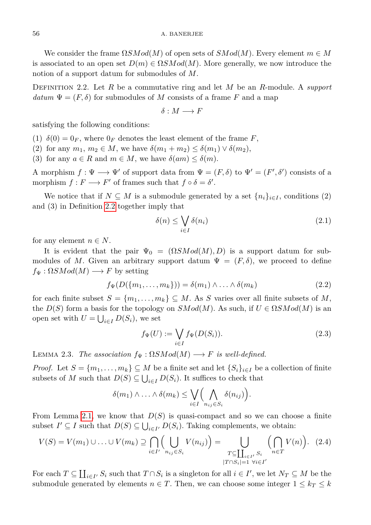We consider the frame Ω*SMod*(*M*) of open sets of *SMod*(*M*). Every element *m* ∈ *M* is associated to an open set  $D(m) \in \Omega SMod(M)$ . More generally, we now introduce the notion of a support datum for submodules of *M*.

<span id="page-3-0"></span>Definition 2.2. Let *R* be a commutative ring and let *M* be an *R*-module. A *support datum*  $\Psi = (F, \delta)$  for submodules of *M* consists of a frame *F* and a map

$$
\delta: M \longrightarrow F
$$

satisfying the following conditions:

(1)  $\delta(0) = 0_F$ , where  $0_F$  denotes the least element of the frame *F*,

(2) for any  $m_1, m_2 \in M$ , we have  $\delta(m_1 + m_2) \leq \delta(m_1) \vee \delta(m_2)$ ,

(3) for any  $a \in R$  and  $m \in M$ , we have  $\delta(am) \leq \delta(m)$ .

A morphism  $f: \Psi \longrightarrow \Psi'$  of support data from  $\Psi = (F, \delta)$  to  $\Psi' = (F', \delta')$  consists of a morphism  $f : F \longrightarrow F'$  of frames such that  $f \circ \delta = \delta'$ .

We notice that if  $N \subseteq M$  is a submodule generated by a set  $\{n_i\}_{i \in I}$ , conditions (2) and (3) in Definition [2.2](#page-3-0) together imply that

<span id="page-3-1"></span>
$$
\delta(n) \le \bigvee_{i \in I} \delta(n_i) \tag{2.1}
$$

for any element  $n \in N$ .

It is evident that the pair  $\Psi_0 = (\Omega SMod(M), D)$  is a support datum for submodules of M. Given an arbitrary support datum  $\Psi = (F, \delta)$ , we proceed to define  $f_{\Psi}: \Omega SMod(M) \longrightarrow F$  by setting

<span id="page-3-2"></span>
$$
f_{\Psi}(D(\{m_1,\ldots,m_k\})) = \delta(m_1) \wedge \ldots \wedge \delta(m_k)
$$
\n(2.2)

for each finite subset  $S = \{m_1, \ldots, m_k\} \subseteq M$ . As *S* varies over all finite subsets of *M*, the  $D(S)$  form a basis for the topology on  $SMod(M)$ . As such, if  $U \in \Omega SMod(M)$  is an open set with  $U = \bigcup_{i \in I} D(S_i)$ , we set

<span id="page-3-3"></span>
$$
f_{\Psi}(U) := \bigvee_{i \in I} f_{\Psi}(D(S_i)).
$$
\n(2.3)

<span id="page-3-4"></span>LEMMA 2.3. *The association*  $f_{\Psi} : \Omega SMod(M) \longrightarrow F$  *is well-defined.* 

*Proof.* Let  $S = \{m_1, \ldots, m_k\} \subseteq M$  be a finite set and let  $\{S_i\}_{i \in I}$  be a collection of finite subsets of *M* such that  $D(S) \subseteq \bigcup_{i \in I} D(S_i)$ . It suffices to check that

$$
\delta(m_1) \wedge \ldots \wedge \delta(m_k) \leq \bigvee_{i \in I} \Bigl(\bigwedge_{n_{ij} \in S_i} \delta(n_{ij})\Bigr).
$$

From Lemma [2.1,](#page-2-0) we know that  $D(S)$  is quasi-compact and so we can choose a finite subset  $I' \subseteq I$  such that  $D(S) \subseteq \bigcup_{i \in I'} D(S_i)$ . Taking complements, we obtain:

$$
V(S) = V(m_1) \cup \ldots \cup V(m_k) \supseteq \bigcap_{i \in I'} \left( \bigcup_{n_{ij} \in S_i} V(n_{ij}) \right) = \bigcup_{\substack{T \subseteq \coprod_{i \in I'} S_i \\ |T \cap S_i| = 1 \ \forall i \in I'}} \left( \bigcap_{n \in T} V(n) \right). \tag{2.4}
$$

For each  $T \subseteq \coprod_{i \in I'} S_i$  such that  $T \cap S_i$  is a singleton for all  $i \in I'$ , we let  $N_T \subseteq M$  be the submodule generated by elements  $n \in T$ . Then, we can choose some integer  $1 \leq k \leq k$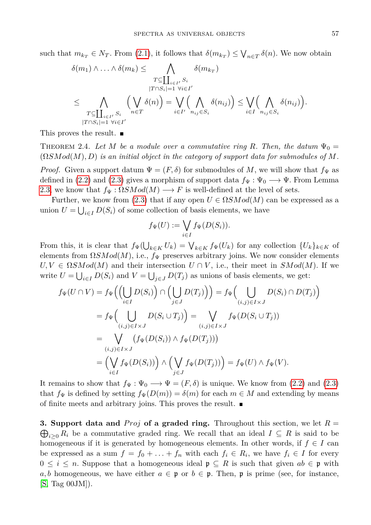such that  $m_{k_T} \in N_T$ . From [\(2.1\)](#page-3-1), it follows that  $\delta(m_{k_T}) \leq \bigvee_{n \in T} \delta(n)$ . We now obtain

$$
\delta(m_1) \wedge \ldots \wedge \delta(m_k) \leq \bigwedge_{\substack{T \subseteq \coprod_{i \in I'} S_i \\ |T \cap S_i| = 1 \ \forall i \in I' \\ \vdots \\ T \subseteq \coprod_{i \in I'} S_i}} \delta(m_{k_T})
$$
\n
$$
\leq \bigwedge_{\substack{T \subseteq \coprod_{i \in I'} S_i \\ |T \cap S_i| = 1 \ \forall i \in I'}} \left(\bigvee_{n \in T} \delta(n)\right) = \bigvee_{i \in I'} \left(\bigwedge_{n_{ij} \in S_i} \delta(n_{ij})\right) \leq \bigvee_{i \in I} \left(\bigwedge_{n_{ij} \in S_i} \delta(n_{ij})\right).
$$

This proves the result.

THEOREM 2.4. Let M be a module over a commutative ring R. Then, the datum  $\Psi_0 =$  $(ΩSMod(M), D)$  *is an initial object in the category of support data for submodules of* M.

*Proof.* Given a support datum  $\Psi = (F, \delta)$  for submodules of M, we will show that  $f_{\Psi}$  as defined in [\(2.2\)](#page-3-2) and [\(2.3\)](#page-3-3) gives a morphism of support data  $f_{\Psi} : \Psi_0 \longrightarrow \Psi$ . From Lemma [2.3,](#page-3-4) we know that  $f_{\Psi} : \Omega SMod(M) \longrightarrow F$  is well-defined at the level of sets.

Further, we know from [\(2.3\)](#page-3-3) that if any open  $U \in \Omega SMod(M)$  can be expressed as a union  $U = \bigcup_{i \in I} D(S_i)$  of some collection of basis elements, we have

$$
f_{\Psi}(U) := \bigvee_{i \in I} f_{\Psi}(D(S_i)).
$$

From this, it is clear that  $f_{\Psi}(\bigcup_{k \in K} U_k) = \bigvee_{k \in K} f_{\Psi}(U_k)$  for any collection  $\{U_k\}_{k \in K}$  of elements from  $\Omega SMod(M)$ , i.e.,  $f_{\Psi}$  preserves arbitrary joins. We now consider elements  $U, V \in \Omega SMod(M)$  and their intersection  $U \cap V$ , i.e., their meet in  $SMod(M)$ . If we write  $U = \bigcup_{i \in I} D(S_i)$  and  $V = \bigcup_{j \in J} D(T_j)$  as unions of basis elements, we get:

$$
f_{\Psi}(U \cap V) = f_{\Psi}\Big(\Big(\bigcup_{i \in I} D(S_i)\Big) \cap \Big(\bigcup_{j \in J} D(T_j)\Big)\Big) = f_{\Psi}\Big(\bigcup_{(i,j) \in I \times J} D(S_i) \cap D(T_j)\Big)
$$
  
\n
$$
= f_{\Psi}\Big(\bigcup_{(i,j) \in I \times J} D(S_i \cup T_j)\Big) = \bigvee_{(i,j) \in I \times J} f_{\Psi}(D(S_i \cup T_j))
$$
  
\n
$$
= \bigvee_{(i,j) \in I \times J} (f_{\Psi}(D(S_i)) \wedge f_{\Psi}(D(T_j)))
$$
  
\n
$$
= \Big(\bigvee_{i \in I} f_{\Psi}(D(S_i))\Big) \wedge \Big(\bigvee_{j \in J} f_{\Psi}(D(T_j))\Big) = f_{\Psi}(U) \wedge f_{\Psi}(V).
$$

It remains to show that  $f_{\Psi} : \Psi_0 \longrightarrow \Psi = (F, \delta)$  is unique. We know from [\(2.2\)](#page-3-2) and [\(2.3\)](#page-3-3) that  $f_{\Psi}$  is defined by setting  $f_{\Psi}(D(m)) = \delta(m)$  for each  $m \in M$  and extending by means of finite meets and arbitrary joins. This proves the result.

**3.** Support data and *Proj* of a graded ring. Throughout this section, we let  $R =$  $\bigoplus_{i\geq 0} R_i$  be a commutative graded ring. We recall that an ideal  $I \subseteq R$  is said to be homogeneous if it is generated by homogeneous elements. In other words, if  $f \in I$  can be expressed as a sum  $f = f_0 + \ldots + f_n$  with each  $f_i \in R_i$ , we have  $f_i \in I$  for every  $0 \leq i \leq n$ . Suppose that a homogeneous ideal  $\mathfrak{p} \subseteq R$  is such that given  $ab \in \mathfrak{p}$  with *a, b* homogeneous, we have either  $a \in \mathfrak{p}$  or  $b \in \mathfrak{p}$ . Then,  $\mathfrak{p}$  is prime (see, for instance, [\[S,](#page-16-15) Tag 00JM]).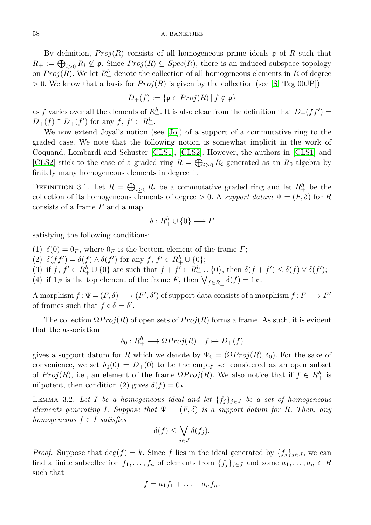## 58 A. BANERJEE

By definition, *P roj*(*R*) consists of all homogeneous prime ideals p of *R* such that  $R_+ := \bigoplus_{i>0} R_i \nsubseteq \mathfrak{p}$ . Since  $Proj(R) \subseteq Spec(R)$ , there is an induced subspace topology on  $Proj(R)$ . We let  $R_+^h$  denote the collection of all homogeneous elements in R of degree  $> 0$ . We know that a basis for  $Proj(R)$  is given by the collection (see [\[S,](#page-16-15) Tag 00JP])

$$
D_+(f) := \{ \mathfrak{p} \in Proj(R) \mid f \notin \mathfrak{p} \}
$$

as *f* varies over all the elements of  $R_+^h$ . It is also clear from the definition that  $D_+(ff') =$  $D_{+}(f) \cap D_{+}(f')$  for any  $f, f' \in R_{+}^{h}$ .

We now extend Joyal's notion (see [\[Jo\]](#page-16-0)) of a support of a commutative ring to the graded case. We note that the following notion is somewhat implicit in the work of Coquand, Lombardi and Schuster [\[CLS1\]](#page-16-16), [\[CLS2\]](#page-16-17). However, the authors in [\[CLS1\]](#page-16-16) and [\[CLS2\]](#page-16-17) stick to the case of a graded ring  $R = \bigoplus_{i \geq 0} R_i$  generated as an  $R_0$ -algebra by finitely many homogeneous elements in degree 1.

<span id="page-5-0"></span>DEFINITION 3.1. Let  $R = \bigoplus_{i \geq 0} R_i$  be a commutative graded ring and let  $R_+^h$  be the collection of its homogeneous elements of degree  $> 0$ . A *support datum*  $\Psi = (F, \delta)$  for *R* consists of a frame *F* and a map

$$
\delta: R_+^h \cup \{0\} \longrightarrow F
$$

satisfying the following conditions:

- (1)  $\delta(0) = 0_F$ , where  $0_F$  is the bottom element of the frame *F*;
- (2)  $\delta(f f') = \delta(f) \wedge \delta(f')$  for any  $f, f' \in R_+^h \cup \{0\};$
- (3) if  $f, f' \in R_+^h \cup \{0\}$  are such that  $f + f' \in R_+^h \cup \{0\}$ , then  $\delta(f + f') \leq \delta(f) \vee \delta(f')$ ;
- (4) if  $1_F$  is the top element of the frame *F*, then  $\bigvee_{f \in R_+^h} \delta(f) = 1_F$ .

A morphism  $f: \Psi = (F, \delta) \longrightarrow (F', \delta')$  of support data consists of a morphism  $f: F \longrightarrow F'$ of frames such that  $f \circ \delta = \delta'$ .

The collection  $\Omega Proj(R)$  of open sets of  $Proj(R)$  forms a frame. As such, it is evident that the association

$$
\delta_0: R_+^h \longrightarrow \Omega Proj(R) \quad f \mapsto D_+(f)
$$

gives a support datum for *R* which we denote by  $\Psi_0 = (\Omega Proj(R), \delta_0)$ . For the sake of convenience, we set  $\delta_0(0) = D_+(0)$  to be the empty set considered as an open subset of  $Proj(R)$ , i.e., an element of the frame  $\Omega Proj(R)$ . We also notice that if  $f \in R_+^h$  is nilpotent, then condition (2) gives  $\delta(f) = 0_F$ .

<span id="page-5-1"></span>LEMMA 3.2. Let *I* be a homogeneous ideal and let  $\{f_j\}_{j \in J}$  be a set of homogeneous *elements generating I. Suppose that*  $\Psi = (F, \delta)$  *is a support datum for R. Then, any homogeneous*  $f \in I$  *satisfies* 

$$
\delta(f) \le \bigvee_{j \in J} \delta(f_j).
$$

*Proof.* Suppose that  $\deg(f) = k$ . Since *f* lies in the ideal generated by  $\{f_i\}_{i \in J}$ , we can find a finite subcollection  $f_1, \ldots, f_n$  of elements from  $\{f_j\}_{j \in J}$  and some  $a_1, \ldots, a_n \in R$ such that

$$
f = a_1 f_1 + \ldots + a_n f_n.
$$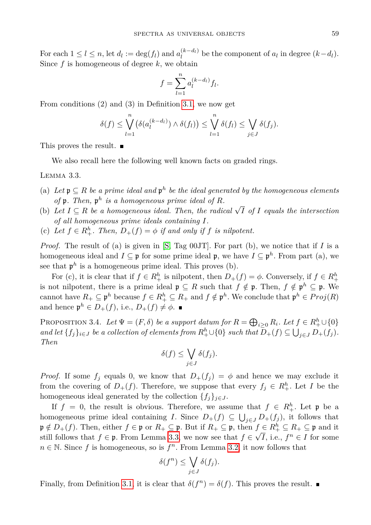For each  $1 \leq l \leq n$ , let  $d_l := \deg(f_l)$  and  $a_l^{(k-d_l)}$  be the component of  $a_l$  in degree  $(k-d_l)$ . Since *f* is homogeneous of degree *k*, we obtain

$$
f = \sum_{l=1}^{n} a_l^{(k-d_l)} f_l.
$$

From conditions (2) and (3) in Definition [3.1,](#page-5-0) we now get

$$
\delta(f) \leq \bigvee_{l=1}^{n} \left( \delta(a_l^{(k-d_l)}) \wedge \delta(f_l) \right) \leq \bigvee_{l=1}^{n} \delta(f_l) \leq \bigvee_{j \in J} \delta(f_j).
$$

This proves the result.

We also recall here the following well known facts on graded rings.

<span id="page-6-0"></span>Lemma 3.3.

- (a) Let  $\mathfrak{p} \subseteq R$  *be a prime ideal and*  $\mathfrak{p}^h$  *be the ideal generated by the homogeneous elements* of  $\mathfrak{p}$ *. Then,*  $\mathfrak{p}^h$  *is a homogeneous prime ideal of R.*
- (b) Let  $I \subseteq R$  be a homogeneous ideal. Then, the radical  $\sqrt{I}$  of  $I$  equals the intersection *of all homogeneous prime ideals containing I.*
- (c) Let  $f \in R_+^h$ . Then,  $D_+(f) = \phi$  if and only if  $f$  is nilpotent.

*Proof.* The result of (a) is given in [\[S,](#page-16-15) Tag 00JT]. For part (b), we notice that if *I* is a homogeneous ideal and  $I \subseteq \mathfrak{p}$  for some prime ideal  $\mathfrak{p}$ , we have  $I \subseteq \mathfrak{p}^h$ . From part (a), we see that  $p^h$  is a homogeneous prime ideal. This proves (b).

For (c), it is clear that if  $f \in R_+^h$  is nilpotent, then  $D_+(f) = \phi$ . Conversely, if  $f \in R_+^h$ is not nilpotent, there is a prime ideal  $\mathfrak{p} \subseteq R$  such that  $f \notin \mathfrak{p}$ . Then,  $f \notin \mathfrak{p}^h \subseteq \mathfrak{p}$ . We cannot have  $R_+ \subseteq \mathfrak{p}^h$  because  $f \in R_+^h \subseteq R_+$  and  $f \notin \mathfrak{p}^h$ . We conclude that  $\mathfrak{p}^h \in Proj(R)$ and hence  $\mathfrak{p}^h \in D_+(f)$ , i.e.,  $D_+(f) \neq \emptyset$ .

<span id="page-6-1"></span>PROPOSITION 3.4. Let  $\Psi = (F, \delta)$  be a support datum for  $R = \bigoplus_{i \geq 0} R_i$ . Let  $f \in R_+^h \cup \{0\}$ *and let*  $\{f_j\}_{i\in J}$  *be a collection of elements from*  $R_+^h \cup \{0\}$  *such that*  $\overline{D}_+(f) \subseteq \bigcup_{j\in J} D_+(f_j)$ *. Then*

$$
\delta(f) \le \bigvee_{j \in J} \delta(f_j).
$$

*Proof.* If some  $f_j$  equals 0, we know that  $D_+(f_j) = \phi$  and hence we may exclude it from the covering of  $D_+(f)$ . Therefore, we suppose that every  $f_j \in R_+^h$ . Let *I* be the homogeneous ideal generated by the collection  $\{f_j\}_{j\in J}$ .

If  $f = 0$ , the result is obvious. Therefore, we assume that  $f \in R_+^h$ . Let  $\mathfrak p$  be a homogeneous prime ideal containing *I*. Since  $D_+(f) \subseteq \bigcup_{j \in J} D_+(f_j)$ , it follows that  $\mathfrak{p} \notin D_+(f)$ . Then, either  $f \in \mathfrak{p}$  or  $R_+ \subseteq \mathfrak{p}$ . But if  $R_+ \subseteq \mathfrak{p}$ , then  $f \in R_+^h \subseteq R_+ \subseteq \mathfrak{p}$  and it still follows that  $f \in \mathfrak{p}$ . From Lemma [3.3,](#page-6-0) we now see that  $f \in \sqrt{I}$ , i.e.,  $f^n \in I$  for some  $n \in \mathbb{N}$ . Since f is homogeneous, so is  $f<sup>n</sup>$ . From Lemma [3.2,](#page-5-1) it now follows that

$$
\delta(f^n) \le \bigvee_{j \in J} \delta(f_j).
$$

<span id="page-6-2"></span>Finally, from Definition [3.1,](#page-5-0) it is clear that  $\delta(f^n) = \delta(f)$ . This proves the result.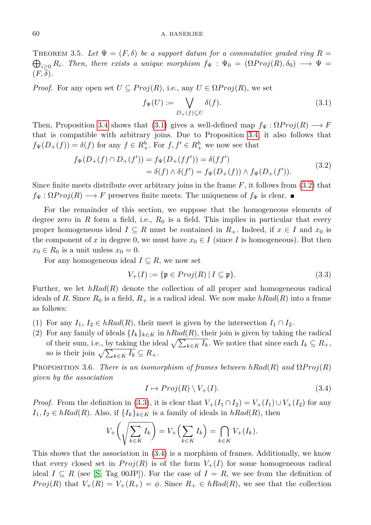## 60 A. BANERJEE

THEOREM 3.5. Let  $\Psi = (F, \delta)$  be a support datum for a commutative graded ring  $R =$  $\bigoplus_{i\geq 0} R_i$ . Then, there exists a unique morphism  $f_{\Psi}$  :  $\Psi_0 = (\Omega Proj(R), \delta_0) \longrightarrow \Psi =$  $(F, \delta)$ .

*Proof.* For any open set  $U \subseteq Proj(R)$ , i.e., any  $U \in \Omega Proj(R)$ , we set

<span id="page-7-1"></span><span id="page-7-0"></span>
$$
f_{\Psi}(U) := \bigvee_{D_+(f) \subseteq U} \delta(f). \tag{3.1}
$$

Then, Proposition [3.4](#page-6-1) shows that [\(3.1\)](#page-7-0) gives a well-defined map  $f_{\Psi}: \Omega Proj(R) \longrightarrow F$ that is compatible with arbitrary joins. Due to Proposition [3.4,](#page-6-1) it also follows that  $f_{\Psi}(D_{+}(f)) = \delta(f)$  for any  $f \in R_{+}^{h}$ . For  $f, f' \in R_{+}^{h}$  we now see that

$$
f_{\Psi}(D_{+}(f) \cap D_{+}(f')) = f_{\Psi}(D_{+}(f f')) = \delta(f f')
$$
  
=  $\delta(f) \wedge \delta(f') = f_{\Psi}(D_{+}(f)) \wedge f_{\Psi}(D_{+}(f')).$  (3.2)

Since finite meets distribute over arbitrary joins in the frame *F*, it follows from [\(3.2\)](#page-7-1) that  $f_{\Psi}: \Omega Proj(R) \longrightarrow F$  preserves finite meets. The uniqueness of  $f_{\Psi}$  is clear.

For the remainder of this section, we suppose that the homogeneous elements of degree zero in  $R$  form a field, i.e.,  $R_0$  is a field. This implies in particular that every proper homogeneous ideal  $I \subseteq R$  must be contained in  $R_+$ . Indeed, if  $x \in I$  and  $x_0$  is the component of x in degree 0, we must have  $x_0 \in I$  (since I is homogeneous). But then  $x_0 \in R_0$  is a unit unless  $x_0 = 0$ .

For any homogeneous ideal  $I \subseteq R$ , we now set

<span id="page-7-2"></span>
$$
V_{+}(I) := \{ \mathfrak{p} \in Proj(R) \mid I \subseteq \mathfrak{p} \}. \tag{3.3}
$$

Further, we let *hRad*(*R*) denote the collection of all proper and homogeneous radical ideals of R. Since  $R_0$  is a field,  $R_+$  is a radical ideal. We now make  $hRad(R)$  into a frame as follows:

- (1) For any  $I_1, I_2 \in hRad(R)$ , their meet is given by the intersection  $I_1 \cap I_2$ .
- (2) For any family of ideals  $\{I_k\}_{k\in K}$  in  $hRad(R)$ , their join is given by taking the radical of their sum, i.e., by taking the ideal  $\sqrt{\sum_{k \in K} I_k}$ . We notice that since each  $I_k \subseteq R_+$ , so is their join  $\sqrt{\sum_{k \in K} I_k} \subseteq R_+$ .

<span id="page-7-4"></span>**PROPOSITION 3.6.** *There is an isomorphism of frames between*  $hRad(R)$  *and*  $\Omega Proj(R)$ *given by the association*

<span id="page-7-3"></span>
$$
I \mapsto Proj(R) \setminus V_+(I). \tag{3.4}
$$

*Proof.* From the definition in [\(3.3\)](#page-7-2), it is clear that  $V_+(I_1 \cap I_2) = V_+(I_1) \cup V_+(I_2)$  for any  $I_1, I_2 \in hRad(R)$ . Also, if  $\{I_k\}_{k \in K}$  is a family of ideals in  $hRad(R)$ , then

$$
V_{+}\left(\sqrt{\sum_{k\in K}I_{k}}\right)=V_{+}\left(\sum_{k\in K}I_{k}\right)=\bigcap_{k\in K}V_{+}(I_{k}).
$$

This shows that the association in [\(3.4\)](#page-7-3) is a morphism of frames. Additionally, we know that every closed set in  $Proj(R)$  is of the form  $V_+(I)$  for some homogeneous radical ideal  $I \subseteq R$  (see [\[S,](#page-16-15) Tag 00JP]). For the case of  $I = R$ , we see from the definition of *Proj*(*R*) that  $V_+(R) = V_+(R_+) = \phi$ . Since  $R_+ \in hRad(R)$ , we see that the collection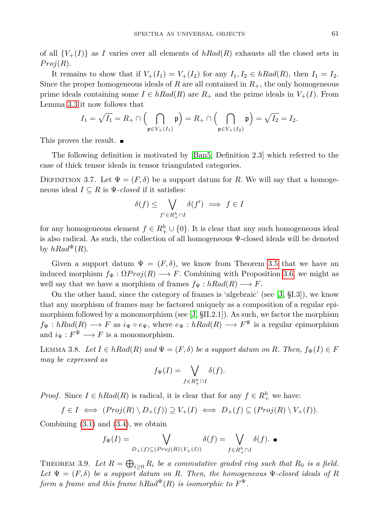of all  ${V_+(I)}$  as *I* varies over all elements of  $hRad(R)$  exhausts all the closed sets in  $Proj(R)$ .

It remains to show that if  $V_+(I_1) = V_+(I_2)$  for any  $I_1, I_2 \in hRad(R)$ , then  $I_1 = I_2$ . Since the proper homogeneous ideals of *R* are all contained in  $R_{+}$ , the only homogeneous prime ideals containing some  $I \in hRad(R)$  are  $R_+$  and the prime ideals in  $V_+(I)$ . From Lemma [3.3](#page-6-0) it now follows that

$$
I_1 = \sqrt{I_1} = R_+ \cap \left( \bigcap_{\mathfrak{p} \in V_+(I_1)} \mathfrak{p} \right) = R_+ \cap \left( \bigcap_{\mathfrak{p} \in V_+(I_2)} \mathfrak{p} \right) = \sqrt{I_2} = I_2.
$$

This proves the result.

The following definition is motivated by [\[Ban5,](#page-16-9) Definition 2.3] which referred to the case of thick tensor ideals in tensor triangulated categories.

<span id="page-8-0"></span>DEFINITION 3.7. Let  $\Psi = (F, \delta)$  be a support datum for R. We will say that a homogeneous ideal  $I \subseteq R$  is  $\Psi$ -closed if it satisfies:

$$
\delta(f) \le \bigvee_{f' \in R_+^h \cap I} \delta(f') \implies f \in I
$$

for any homogeneous element  $f \in R_+^h \cup \{0\}$ . It is clear that any such homogeneous ideal is also radical. As such, the collection of all homogeneous Ψ-closed ideals will be denoted by  $hRad^{\Psi}(R)$ .

Given a support datum  $\Psi = (F, \delta)$ , we know from Theorem [3.5](#page-6-2) that we have an induced morphism  $f_{\Psi} : \Omega Proj(R) \longrightarrow F$ . Combining with Proposition [3.6,](#page-7-4) we might as well say that we have a morphism of frames  $f_{\Psi}: hRad(R) \longrightarrow F$ .

On the other hand, since the category of frames is 'algebraic' (see [\[J,](#page-16-1) §I.3]), we know that any morphism of frames may be factored uniquely as a composition of a regular epimorphism followed by a monomorphism (see  $[J, §II.2.1]$  $[J, §II.2.1]$ ). As such, we factor the morphism  $f_{\Psi}: hRad(R) \longrightarrow F$  as  $i_{\Psi} \circ e_{\Psi}$ , where  $e_{\Psi}: hRad(R) \longrightarrow F^{\Psi}$  is a regular epimorphism and  $i_{\Psi}: F^{\Psi} \longrightarrow F$  is a monomorphism.

<span id="page-8-1"></span>LEMMA 3.8. Let  $I \in hRad(R)$  and  $\Psi = (F, \delta)$  be a support datum on R. Then,  $f_{\Psi}(I) \in F$ *may be expressed as*

$$
f_{\Psi}(I) = \bigvee_{f \in R_+^h \cap I} \delta(f).
$$

*Proof.* Since  $I \in hRad(R)$  is radical, it is clear that for any  $f \in R^h_+$  we have:

$$
f \in I \iff (Proj(R) \setminus D_+(f)) \supseteq V_+(I) \iff D_+(f) \subseteq (Proj(R) \setminus V_+(I)).
$$

Combining  $(3.1)$  and  $(3.4)$ , we obtain

$$
f_{\Psi}(I) = \bigvee_{D_{+}(f) \subseteq (Proj(R) \setminus V_{+}(I))} \delta(f) = \bigvee_{f \in R_{+}^{h} \cap I} \delta(f).
$$

<span id="page-8-2"></span>THEOREM 3.9. Let  $R = \bigoplus_{i \geq 0} R_i$  be a commutative graded ring such that  $R_0$  is a field. Let  $\Psi = (F, \delta)$  be a support datum on R. Then, the homogeneous  $\Psi$ -closed ideals of R *form a frame and this frame*  $hRad^{\Psi}(R)$  *<i>is isomorphic to*  $F^{\Psi}$ *.*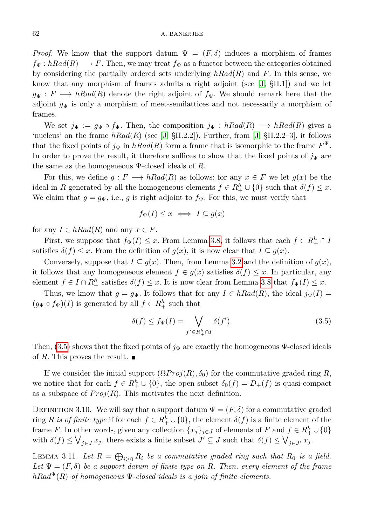*Proof.* We know that the support datum  $\Psi = (F, \delta)$  induces a morphism of frames  $f_{\Psi}: hRad(R) \longrightarrow F$ . Then, we may treat  $f_{\Psi}$  as a functor between the categories obtained by considering the partially ordered sets underlying *hRad*(*R*) and *F*. In this sense, we know that any morphism of frames admits a right adjoint (see [\[J,](#page-16-1) §II.1]) and we let  $g_{\Psi}: F \longrightarrow hRad(R)$  denote the right adjoint of  $f_{\Psi}$ . We should remark here that the adjoint  $g_{\Psi}$  is only a morphism of meet-semilattices and not necessarily a morphism of frames.

We set  $j_{\Psi} := g_{\Psi} \circ f_{\Psi}$ . Then, the composition  $j_{\Psi} : hRad(R) \longrightarrow hRad(R)$  gives a 'nucleus' on the frame  $hRad(R)$  (see [\[J,](#page-16-1) §II.2.2]). Further, from [J, §II.2.2–3], it follows that the fixed points of  $j_{\Psi}$  in  $hRad(R)$  form a frame that is isomorphic to the frame  $F^{\Psi}$ . In order to prove the result, it therefore suffices to show that the fixed points of  $j_{\Psi}$  are the same as the homogeneous Ψ-closed ideals of *R*.

For this, we define  $g: F \longrightarrow hRad(R)$  as follows: for any  $x \in F$  we let  $g(x)$  be the ideal in *R* generated by all the homogeneous elements  $f \in R_+^h \cup \{0\}$  such that  $\delta(f) \leq x$ . We claim that  $g = g_{\Psi}$ , i.e., *g* is right adjoint to  $f_{\Psi}$ . For this, we must verify that

$$
f_{\Psi}(I) \leq x \iff I \subseteq g(x)
$$

for any  $I \in hRad(R)$  and any  $x \in F$ .

First, we suppose that  $f_{\Psi}(I) \leq x$ . From Lemma [3.8,](#page-8-1) it follows that each  $f \in R_+^h \cap I$ satisfies  $\delta(f) \leq x$ . From the definition of  $g(x)$ , it is now clear that  $I \subseteq g(x)$ .

Conversely, suppose that  $I \subseteq g(x)$ . Then, from Lemma [3.2](#page-5-1) and the definition of  $g(x)$ , it follows that any homogeneous element  $f \in g(x)$  satisfies  $\delta(f) \leq x$ . In particular, any element  $f \in I \cap R_+^h$  satisfies  $\delta(f) \leq x$ . It is now clear from Lemma [3.8](#page-8-1) that  $f_{\Psi}(I) \leq x$ .

Thus, we know that  $g = g_{\Psi}$ . It follows that for any  $I \in hRad(R)$ , the ideal  $j_{\Psi}(I)$  =  $(g_{\Psi} \circ f_{\Psi})(I)$  is generated by all  $f \in R_+^h$  such that

<span id="page-9-0"></span>
$$
\delta(f) \le f_{\Psi}(I) = \bigvee_{f' \in R_+^h \cap I} \delta(f'). \tag{3.5}
$$

Then,  $(3.5)$  shows that the fixed points of  $j_{\Psi}$  are exactly the homogeneous  $\Psi$ -closed ideals of R. This proves the result.  $\blacksquare$ 

If we consider the initial support  $(\Omega Proj(R), \delta_0)$  for the commutative graded ring *R*, we notice that for each  $f \in R_+^h \cup \{0\}$ , the open subset  $\delta_0(f) = D_+(f)$  is quasi-compact as a subspace of  $Proj(R)$ . This motivates the next definition.

DEFINITION 3.10. We will say that a support datum  $\Psi = (F, \delta)$  for a commutative graded ring *R is of finite type* if for each  $f \in R_+^h \cup \{0\}$ , the element  $\delta(f)$  is a finite element of the frame *F*. In other words, given any collection  $\{x_j\}_{j\in J}$  of elements of *F* and  $f \in R^h_+ \cup \{0\}$ with  $\delta(f) \leq \bigvee_{j \in J} x_j$ , there exists a finite subset  $J' \subseteq J$  such that  $\delta(f) \leq \bigvee_{j \in J'} x_j$ .

<span id="page-9-1"></span>LEMMA 3.11. Let  $R = \bigoplus_{i \geq 0} R_i$  be a commutative graded ring such that  $R_0$  is a field. Let  $\Psi = (F, \delta)$  be a support datum of finite type on R. Then, every element of the frame  $hRad^{\Psi}(R)$  *of homogeneous*  $\Psi$ -closed ideals is a join of finite elements.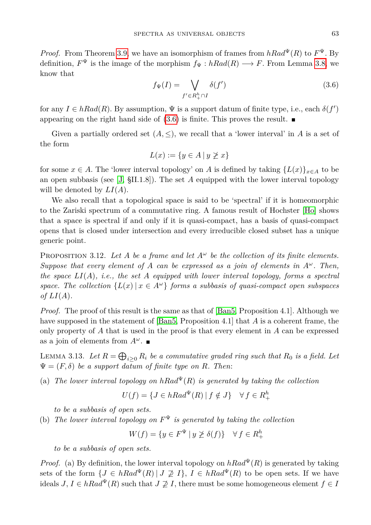<span id="page-10-0"></span>*Proof.* From Theorem [3.9,](#page-8-2) we have an isomorphism of frames from  $hRad^{\Psi}(R)$  to  $F^{\Psi}$ . By definition,  $F^{\Psi}$  is the image of the morphism  $f_{\Psi}: hRad(R) \longrightarrow F$ . From Lemma [3.8,](#page-8-1) we know that

$$
f_{\Psi}(I) = \bigvee_{f' \in R_+^h \cap I} \delta(f')
$$
\n(3.6)

for any  $I \in hRad(R)$ . By assumption,  $\Psi$  is a support datum of finite type, i.e., each  $\delta(f')$ appearing on the right hand side of  $(3.6)$  is finite. This proves the result.

Given a partially ordered set  $(A, \leq)$ , we recall that a 'lower interval' in A is a set of the form

$$
L(x) := \{ y \in A \mid y \not\geq x \}
$$

for some  $x \in A$ . The 'lower interval topology' on *A* is defined by taking  $\{L(x)\}_{x \in A}$  to be an open subbasis (see [\[J,](#page-16-1) §II.1.8]). The set *A* equipped with the lower interval topology will be denoted by *LI*(*A*).

We also recall that a topological space is said to be 'spectral' if it is homeomorphic to the Zariski spectrum of a commutative ring. A famous result of Hochster [\[Ho\]](#page-16-11) shows that a space is spectral if and only if it is quasi-compact, has a basis of quasi-compact opens that is closed under intersection and every irreducible closed subset has a unique generic point.

<span id="page-10-2"></span>PROPOSITION 3.12. Let A be a frame and let  $A^\omega$  be the collection of its finite elements. *Suppose that every element of A can be expressed as a join of elements in*  $A^\omega$ *. Then, the space LI*(*A*)*, i.e., the set A equipped with lower interval topology, forms a spectral space. The collection*  $\{L(x) | x \in A^\omega\}$  *forms a subbasis of quasi-compact open subspaces of*  $LI(A)$ *.* 

*Proof.* The proof of this result is the same as that of [\[Ban5,](#page-16-9) Proposition 4.1]. Although we have supposed in the statement of [\[Ban5,](#page-16-9) Proposition 4.1] that *A* is a coherent frame, the only property of *A* that is used in the proof is that every element in *A* can be expressed as a join of elements from  $A^{\omega}$ .

<span id="page-10-1"></span>LEMMA 3.13. Let  $R = \bigoplus_{i \geq 0} R_i$  be a commutative graded ring such that  $R_0$  is a field. Let  $\Psi = (F, \delta)$  *be a support datum of finite type on R. Then:* 

(a) *The lower interval topology on*  $hRad^{\Psi}(R)$  *is generated by taking the collection* 

 $U(f) = \{ J \in hRad^{\Psi}(R) | f \notin J \} \quad \forall f \in R_+^h$ 

*to be a subbasis of open sets.*

(b) The lower interval topology on  $F^{\Psi}$  is generated by taking the collection

 $W(f) = \{ y \in F^{\Psi} \mid y \not\geq \delta(f) \}$   $\forall f \in R_+^h$ 

*to be a subbasis of open sets.*

*Proof.* (a) By definition, the lower interval topology on  $hRad^{\Psi}(R)$  is generated by taking sets of the form  $\{J \in hRad^{\Psi}(R) | J \not\supseteq I\}$ ,  $I \in hRad^{\Psi}(R)$  to be open sets. If we have ideals *J*,  $I \in hRad^{\Psi}(R)$  such that  $J \not\supseteq I$ , there must be some homogeneous element  $f \in I$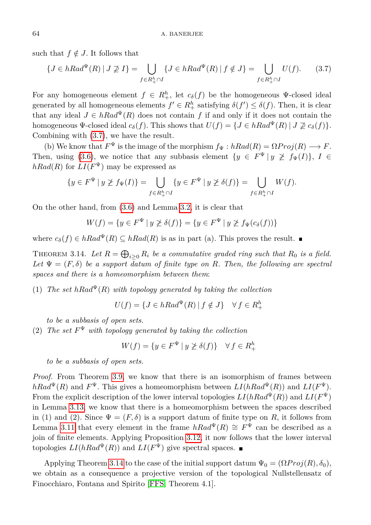such that  $f \notin J$ . It follows that

<span id="page-11-0"></span>
$$
\{J \in hRad^{\Psi}(R) \mid J \not\supseteq I\} = \bigcup_{f \in R_{+}^{h} \cap I} \{J \in hRad^{\Psi}(R) \mid f \notin J\} = \bigcup_{f \in R_{+}^{h} \cap I} U(f). \tag{3.7}
$$

For any homogeneous element  $f \in R_+^h$ , let  $c_{\delta}(f)$  be the homogeneous  $\Psi$ -closed ideal generated by all homogeneous elements  $f' \in R_+^h$  satisfying  $\delta(f') \leq \delta(f)$ . Then, it is clear that any ideal  $J \in hRad^{\Psi}(R)$  does not contain *f* if and only if it does not contain the homogeneous  $\Psi$ -closed ideal  $c_{\delta}(f)$ . This shows that  $U(f) = \{J \in hRad^{\Psi}(R) | J \not\supseteq c_{\delta}(f)\}.$ Combining with [\(3.7\)](#page-11-0), we have the result.

(b) We know that  $F^{\Psi}$  is the image of the morphism  $f_{\Psi} : hRad(R) = \Omega Proj(R) \longrightarrow F$ . Then, using [\(3.6\)](#page-10-0), we notice that any subbasis element  $\{y \in F^{\Psi} | y \not\geq f_{\Psi}(I)\}, I \in$  $hRad(R)$  for  $LI(F^{\Psi})$  may be expressed as

$$
\{y \in F^{\Psi} \mid y \not\geq f_{\Psi}(I)\} = \bigcup_{f \in R_{+}^{h} \cap I} \{y \in F^{\Psi} \mid y \not\geq \delta(f)\} = \bigcup_{f \in R_{+}^{h} \cap I} W(f).
$$

On the other hand, from [\(3.6\)](#page-10-0) and Lemma [3.2,](#page-5-1) it is clear that

$$
W(f) = \{ y \in F^{\Psi} \mid y \ngeq \delta(f) \} = \{ y \in F^{\Psi} \mid y \ngeq f_{\Psi}(c_{\delta}(f)) \}
$$

where  $c_{\delta}(f) \in hRad^{\Psi}(R) \subseteq hRad(R)$  is as in part (a). This proves the result.

<span id="page-11-1"></span>THEOREM 3.14. Let  $R = \bigoplus_{i \geq 0} R_i$  be a commutative graded ring such that  $R_0$  is a field. Let  $\Psi = (F, \delta)$  be a support datum of finite type on R. Then, the following are spectral *spaces and there is a homeomorphism between them*:

(1) *The set*  $hRad^{\Psi}(R)$  *with topology generated by taking the collection* 

 $U(f) = \{J \in hRad^{\Psi}(R) \mid f \notin J\} \quad \forall f \in R_+^h$ 

*to be a subbasis of open sets.*

(2) The set  $F^{\Psi}$  with topology generated by taking the collection

*W*(*f*) = {*y* ∈ *F*<sup> $Psi$ </sup> | *y*  $≥ δ(f)$ }  $∀ f ∈ R_+^h$ 

*to be a subbasis of open sets.*

*Proof.* From Theorem [3.9,](#page-8-2) we know that there is an isomorphism of frames between  $hRad^{\Psi}(R)$  and  $F^{\Psi}$ . This gives a homeomorphism between  $LI(hRad^{\Psi}(R))$  and  $LI(F^{\Psi})$ . From the explicit description of the lower interval topologies  $LI(hRad^{\Psi}(R))$  and  $LI(F^{\Psi})$ in Lemma [3.13,](#page-10-1) we know that there is a homeomorphism between the spaces described in (1) and (2). Since  $\Psi = (F, \delta)$  is a support datum of finite type on R, it follows from Lemma [3.11](#page-9-1) that every element in the frame  $hRad^{\Psi}(R) \cong F^{\Psi}$  can be described as a join of finite elements. Applying Proposition [3.12,](#page-10-2) it now follows that the lower interval topologies  $LI(hRad^{\Psi}(R))$  and  $LI(F^{\Psi})$  give spectral spaces.

Applying Theorem [3.14](#page-11-1) to the case of the initial support datum  $\Psi_0 = (\Omega Proj(R), \delta_0)$ , we obtain as a consequence a projective version of the topological Nullstellensatz of Finocchiaro, Fontana and Spirito [\[FFS,](#page-16-10) Theorem 4.1].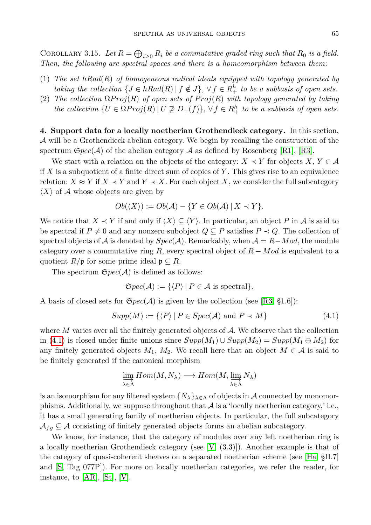COROLLARY 3.15. Let  $R = \bigoplus_{i \geq 0} R_i$  be a commutative graded ring such that  $R_0$  is a field. *Then, the following are spectral spaces and there is a homeomorphism between them*:

- (1) *The set hRad*(*R*) *of homogeneous radical ideals equipped with topology generated by taking the collection*  $\{J \in hRad(R) | f \notin J\}$ ,  $\forall f \in R_+^h$  *to be a subbasis of open sets.*
- (2) *The collection*  $\Omega Proj(R)$  *of open sets of*  $Proj(R)$  *with topology generated by taking the collection*  $\{U \in \Omega Proj(R) | U \not\supseteq D_+(f)\}, \forall f \in R_+^h$  to be a subbasis of open sets.

**4. Support data for a locally noetherian Grothendieck category.** In this section, A will be a Grothendieck abelian category. We begin by recalling the construction of the spectrum  $\mathfrak{S}pec(\mathcal{A})$  of the abelian category  $\mathcal{A}$  as defined by Rosenberg [\[R1\]](#page-16-12), [\[R3\]](#page-16-14).

We start with a relation on the objects of the category:  $X \prec Y$  for objects  $X, Y \in \mathcal{A}$ if *X* is a subquotient of a finite direct sum of copies of *Y* . This gives rise to an equivalence relation:  $X \approx Y$  if  $X \prec Y$  and  $Y \prec X$ . For each object X, we consider the full subcategory  $\langle X \rangle$  of A whose objects are given by

$$
Ob(\langle X \rangle) := Ob(\mathcal{A}) - \{ Y \in Ob(\mathcal{A}) \mid X \prec Y \}.
$$

We notice that  $X \prec Y$  if and only if  $\langle X \rangle \subseteq \langle Y \rangle$ . In particular, an object P in A is said to be spectral if  $P \neq 0$  and any nonzero subobject  $Q \subseteq P$  satisfies  $P \prec Q$ . The collection of spectral objects of A is denoted by  $Spec(\mathcal{A})$ . Remarkably, when  $\mathcal{A} = R - Mod$ , the module category over a commutative ring *R*, every spectral object of *R* − *Mod* is equivalent to a quotient  $R/\mathfrak{p}$  for some prime ideal  $\mathfrak{p} \subseteq R$ .

The spectrum  $\mathfrak{S}pec(\mathcal{A})$  is defined as follows:

<span id="page-12-0"></span>
$$
\mathfrak{S}pec(\mathcal{A}) := \{ \langle P \rangle \mid P \in \mathcal{A} \text{ is spectral} \}.
$$

A basis of closed sets for  $\mathfrak{S}pec(\mathcal{A})$  is given by the collection (see [\[R3,](#page-16-14) §1.6]):

$$
Supp(M) := \{ \langle P \rangle \mid P \in Spec(\mathcal{A}) \text{ and } P \prec M \}
$$
 (4.1)

where M varies over all the finitely generated objects of A. We observe that the collection in [\(4.1\)](#page-12-0) is closed under finite unions since *Supp*(*M*1) ∪ *Supp*(*M*2) = *Supp*(*M*<sup>1</sup> ⊕ *M*2) for any finitely generated objects  $M_1$ ,  $M_2$ . We recall here that an object  $M \in \mathcal{A}$  is said to be finitely generated if the canonical morphism

$$
\varinjlim_{\lambda \in \Lambda} Hom(M, N_{\lambda}) \longrightarrow Hom(M, \varinjlim_{\lambda \in \Lambda} N_{\lambda})
$$

is an isomorphism for any filtered system  $\{N_\lambda\}_{\lambda \in \Lambda}$  of objects in A connected by monomorphisms. Additionally, we suppose throughout that  $\mathcal A$  is a 'locally noetherian category,' i.e., it has a small generating family of noetherian objects. In particular, the full subcategory  $\mathcal{A}_{fg} \subseteq \mathcal{A}$  consisting of finitely generated objects forms an abelian subcategory.

<span id="page-12-1"></span>We know, for instance, that the category of modules over any left noetherian ring is a locally noetherian Grothendieck category (see [\[V,](#page-16-18) (3.3)]). Another example is that of the category of quasi-coherent sheaves on a separated noetherian scheme (see [\[Ha,](#page-16-19) §II.7] and [\[S,](#page-16-15) Tag 077P]). For more on locally noetherian categories, we refer the reader, for instance, to [\[AR\]](#page-15-2), [\[St\]](#page-16-20), [\[V\]](#page-16-18).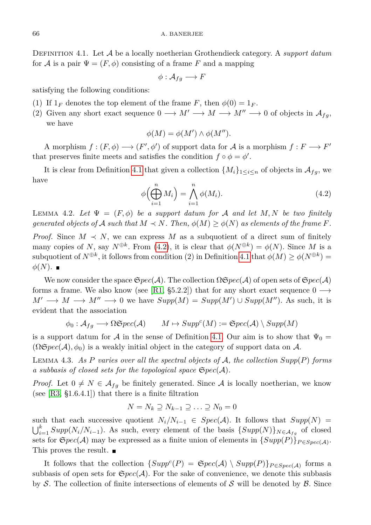Definition 4.1. Let A be a locally noetherian Grothendieck category. A *support datum* for A is a pair  $\Psi = (F, \phi)$  consisting of a frame F and a mapping

$$
\phi: \mathcal{A}_{fg} \longrightarrow F
$$

satisfying the following conditions:

- (1) If  $1_F$  denotes the top element of the frame *F*, then  $\phi(0) = 1_F$ .
- (2) Given any short exact sequence  $0 \longrightarrow M' \longrightarrow M \longrightarrow M'' \longrightarrow 0$  of objects in  $\mathcal{A}_{f,q}$ , we have

$$
\phi(M) = \phi(M') \wedge \phi(M'').
$$

A morphism  $f : (F, \phi) \longrightarrow (F', \phi')$  of support data for A is a morphism  $f : F \longrightarrow F'$ that preserves finite meets and satisfies the condition  $f \circ \phi = \phi'$ .

<span id="page-13-0"></span>It is clear from Definition [4.1](#page-12-1) that given a collection  $\{M_i\}_{1\leq i\leq n}$  of objects in  $\mathcal{A}_{fg}$ , we have

$$
\phi\left(\bigoplus_{i=1}^{n} M_i\right) = \bigwedge_{i=1}^{n} \phi(M_i). \tag{4.2}
$$

<span id="page-13-1"></span>LEMMA 4.2. Let  $\Psi = (F, \phi)$  be a support datum for A and let M, N be two finitely *generated objects of*  $\mathcal{A}$  *such that*  $M \prec N$ *. Then,*  $\phi(M) \geq \phi(N)$  *as elements of the frame*  $F$ *.* 

*Proof.* Since  $M \prec N$ , we can express M as a subquotient of a direct sum of finitely many copies of *N*, say  $N^{\oplus k}$ . From [\(4.2\)](#page-13-0), it is clear that  $\phi(N^{\oplus k}) = \phi(N)$ . Since *M* is a  $\text{subquotient of } N^{\oplus k}$ , it follows from condition (2) in Definition [4.1](#page-12-1) that  $\phi(M) \geq \phi(N^{\oplus k}) =$  $\phi(N)$ . ■

We now consider the space  $\mathfrak{S}pec(\mathcal{A})$ . The collection  $\Omega \mathfrak{S}pec(\mathcal{A})$  of open sets of  $\mathfrak{S}pec(\mathcal{A})$ forms a frame. We also know (see [\[R1,](#page-16-12) §5.2.2]) that for any short exact sequence  $0 \longrightarrow$  $M' \longrightarrow M \longrightarrow M'' \longrightarrow 0$  we have  $Supp(M) = Supp(M') \cup Supp(M'')$ . As such, it is evident that the association

$$
\phi_0: \mathcal{A}_{fg} \longrightarrow \Omega \mathfrak{S}pec(\mathcal{A}) \qquad M \mapsto Supp^c(M) := \mathfrak{S}pec(\mathcal{A}) \setminus Supp(M)
$$

is a support datum for A in the sense of Definition [4.1.](#page-12-1) Our aim is to show that  $\Psi_0 =$  $(\Omega \mathfrak{S}pec(\mathcal{A}), \phi_0)$  is a weakly initial object in the category of support data on A.

<span id="page-13-2"></span>Lemma 4.3. *As P varies over all the spectral objects of* A*, the collection Supp*(*P*) *forms a subbasis of closed sets for the topological space* S*pec*(A)*.*

*Proof.* Let  $0 \neq N \in \mathcal{A}_{fg}$  be finitely generated. Since A is locally noetherian, we know (see  $[R3, §1.6.4.1]$  $[R3, §1.6.4.1]$ ) that there is a finite filtration

$$
N = N_k \supseteq N_{k-1} \supseteq \ldots \supseteq N_0 = 0
$$

such that each successive quotient  $N_i/N_{i-1} \in Spec(\mathcal{A})$ . It follows that  $Supp(N) =$  $\bigcup_{i=1}^{k} Supp(N_i/N_{i-1})$ . As such, every element of the basis  $\{Supp(N)\}_{N\in\mathcal{A}_{fg}}$  of closed sets for  $\mathfrak{S}pec(\mathcal{A})$  may be expressed as a finite union of elements in  $\{Supp(P)\}_{P \in Spec(\mathcal{A})}$ . This proves the result.

It follows that the collection  $\{Supp^c(P) = \mathfrak{S}pec(\mathcal{A}) \setminus Supp(P)\}_{P \in Spec(\mathcal{A})}$  forms a subbasis of open sets for  $\mathfrak{S}pec(\mathcal{A})$ . For the sake of convenience, we denote this subbasis by S. The collection of finite intersections of elements of S will be denoted by  $\beta$ . Since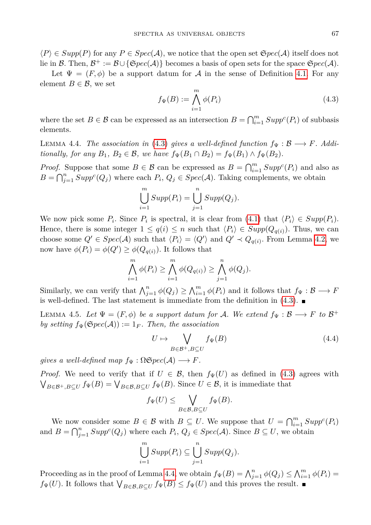$\langle P \rangle \in Supp(P)$  for any  $P \in Spec(A)$ , we notice that the open set  $\mathfrak{S}pec(A)$  itself does not lie in B. Then,  $\mathcal{B}^+ := \mathcal{B} \cup {\{ \mathfrak{S}pec(\mathcal{A}) \}}$  becomes a basis of open sets for the space  $\mathfrak{Spec}(\mathcal{A})$ .

Let  $\Psi = (F, \phi)$  be a support datum for A in the sense of Definition [4.1.](#page-12-1) For any element  $B \in \mathcal{B}$ , we set

<span id="page-14-0"></span>
$$
f_{\Psi}(B) := \bigwedge_{i=1}^{m} \phi(P_i)
$$
\n(4.3)

where the set  $B \in \mathcal{B}$  can be expressed as an intersection  $B = \bigcap_{i=1}^{m} Supp^{c}(P_{i})$  of subbasis elements.

<span id="page-14-1"></span>LEMMA 4.4. *The association in* [\(4.3\)](#page-14-0) *gives a well-defined function*  $f_{\Psi}: \mathcal{B} \longrightarrow F$ *. Additionally, for any*  $B_1$ ,  $B_2 \in \mathcal{B}$ *, we have*  $f_{\Psi}(B_1 \cap B_2) = f_{\Psi}(B_1) \wedge f_{\Psi}(B_2)$ *.* 

*Proof.* Suppose that some  $B \in \mathcal{B}$  can be expressed as  $B = \bigcap_{i=1}^{m} Supp^{c}(P_{i})$  and also as  $B = \bigcap_{j=1}^{n} Supp^{c}(Q_{j})$  where each  $P_{i}$ ,  $Q_{j} \in Spec(A)$ . Taking complements, we obtain

$$
\bigcup_{i=1}^{m} Supp(P_{i}) = \bigcup_{j=1}^{n} Supp(Q_{j}).
$$

We now pick some  $P_i$ . Since  $P_i$  is spectral, it is clear from [\(4.1\)](#page-12-0) that  $\langle P_i \rangle \in Supp(P_i)$ . Hence, there is some integer  $1 \leq q(i) \leq n$  such that  $\langle P_i \rangle \in Supp(Q_{q(i)})$ . Thus, we can choose some  $Q' \in Spec(\mathcal{A})$  such that  $\langle P_i \rangle = \langle Q' \rangle$  and  $Q' \prec Q_{q(i)}$ . From Lemma [4.2,](#page-13-1) we now have  $\phi(P_i) = \phi(Q') \geq \phi(Q_{q(i)})$ . It follows that

$$
\bigwedge_{i=1}^{m} \phi(P_i) \geq \bigwedge_{i=1}^{m} \phi(Q_{q(i)}) \geq \bigwedge_{j=1}^{n} \phi(Q_j).
$$

Similarly, we can verify that  $\bigwedge_{j=1}^{n} \phi(Q_j) \geq \bigwedge_{i=1}^{m} \phi(P_i)$  and it follows that  $f_{\Psi}: \mathcal{B} \longrightarrow F$ is well-defined. The last statement is immediate from the definition in  $(4.3)$ .

<span id="page-14-2"></span>LEMMA 4.5. Let  $\Psi = (F, \phi)$  be a support datum for A. We extend  $f_{\Psi} : \mathcal{B} \longrightarrow F$  to  $\mathcal{B}^+$ *by setting*  $f_{\Psi}(\mathfrak{S}pec(\mathcal{A})) := 1_F$ . Then, the association

<span id="page-14-3"></span>
$$
U \mapsto \bigvee_{B \in \mathcal{B}^+, B \subseteq U} f_{\Psi}(B) \tag{4.4}
$$

*gives a well-defined map*  $f_{\Psi} : \Omega \mathfrak{S} \textit{pec}(\mathcal{A}) \longrightarrow F$ .

*Proof.* We need to verify that if  $U \in \mathcal{B}$ , then  $f_{\Psi}(U)$  as defined in [\(4.3\)](#page-14-0) agrees with  $\bigvee_{B \in \mathcal{B}^+, B \subseteq U} f_{\Psi}(B) = \bigvee_{B \in \mathcal{B}, B \subseteq U} f_{\Psi}(B)$ . Since  $U \in \mathcal{B}$ , it is immediate that

$$
f_{\Psi}(U) \leq \bigvee_{B \in \mathcal{B}, B \subseteq U} f_{\Psi}(B).
$$

We now consider some  $B \in \mathcal{B}$  with  $B \subseteq U$ . We suppose that  $U = \bigcap_{i=1}^{m} Supp^{c}(P_{i})$ and  $B = \bigcap_{j=1}^n Supp^c(Q_j)$  where each  $P_i, Q_j \in Spec(\mathcal{A})$ . Since  $B \subseteq U$ , we obtain

$$
\bigcup_{i=1}^{m} Supp(P_{i}) \subseteq \bigcup_{j=1}^{n} Supp(Q_{j}).
$$

Proceeding as in the proof of Lemma [4.4,](#page-14-1) we obtain  $f_{\Psi}(B) = \bigwedge_{j=1}^{n} \phi(Q_j) \leq \bigwedge_{i=1}^{m} \phi(P_i) =$  $f_{\Psi}(U)$ . It follows that  $\bigvee_{B \in \mathcal{B}, B \subseteq U} f_{\Psi}(B) \leq f_{\Psi}(U)$  and this proves the result.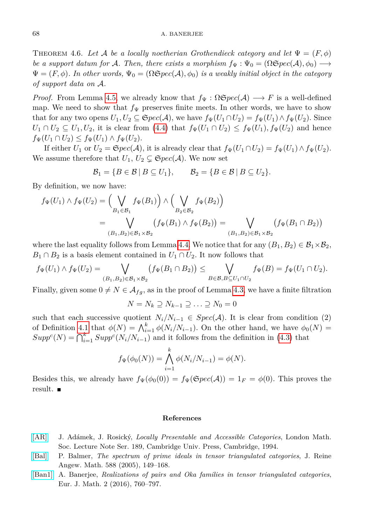THEOREM 4.6. Let A be a locally noetherian Grothendieck category and let  $\Psi = (F, \phi)$ *be a support datum for* A. Then, there exists a morphism  $f_{\Psi} : \Psi_0 = (\Omega \mathcal{E} \text{pec}(\mathcal{A}), \phi_0) \longrightarrow$  $\Psi = (F, \phi)$ *. In other words,*  $\Psi_0 = (\Omega \mathfrak{S}pec(\mathcal{A}), \phi_0)$  *is a weakly initial object in the category of support data on* A*.*

*Proof.* From Lemma [4.5,](#page-14-2) we already know that  $f_{\Psi} : \Omega \mathfrak{S} \text{pec}(\mathcal{A}) \longrightarrow F$  is a well-defined map. We need to show that  $f_{\Psi}$  preserves finite meets. In other words, we have to show that for any two opens  $U_1, U_2 \subseteq \mathfrak{S}pec(\mathcal{A})$ , we have  $f_{\Psi}(U_1 \cap U_2) = f_{\Psi}(U_1) \wedge f_{\Psi}(U_2)$ . Since  $U_1 \cap U_2 \subseteq U_1, U_2$ , it is clear from [\(4.4\)](#page-14-3) that  $f_{\Psi}(U_1 \cap U_2) \leq f_{\Psi}(U_1), f_{\Psi}(U_2)$  and hence  $f_{\Psi}(U_1 \cap U_2) \leq f_{\Psi}(U_1) \wedge f_{\Psi}(U_2).$ 

If either *U*<sub>1</sub> or  $U_2 = \mathfrak{S}pec(\mathcal{A})$ , it is already clear that  $f_{\Psi}(U_1 \cap U_2) = f_{\Psi}(U_1) \wedge f_{\Psi}(U_2)$ . We assume therefore that  $U_1, U_2 \subsetneq \mathfrak{S}pec(\mathcal{A})$ . We now set

$$
\mathcal{B}_1 = \{ B \in \mathcal{B} \mid B \subseteq U_1 \}, \qquad \mathcal{B}_2 = \{ B \in \mathcal{B} \mid B \subseteq U_2 \}.
$$

By definition, we now have:

$$
f_{\Psi}(U_1) \wedge f_{\Psi}(U_2) = \left(\bigvee_{B_1 \in \mathcal{B}_1} f_{\Psi}(B_1)\right) \wedge \left(\bigvee_{B_2 \in \mathcal{B}_2} f_{\Psi}(B_2)\right)
$$
  
= 
$$
\bigvee_{(B_1, B_2) \in \mathcal{B}_1 \times \mathcal{B}_2} \left(f_{\Psi}(B_1) \wedge f_{\Psi}(B_2)\right) = \bigvee_{(B_1, B_2) \in \mathcal{B}_1 \times \mathcal{B}_2} \left(f_{\Psi}(B_1 \cap B_2)\right)
$$

where the last equality follows from Lemma [4.4.](#page-14-1) We notice that for any  $(B_1, B_2) \in \mathcal{B}_1 \times \mathcal{B}_2$ ,  $B_1 \cap B_2$  is a basis element contained in  $U_1 \cap U_2$ . It now follows that

$$
f_{\Psi}(U_1) \wedge f_{\Psi}(U_2) = \bigvee_{(B_1, B_2) \in \mathcal{B}_1 \times \mathcal{B}_2} (f_{\Psi}(B_1 \cap B_2)) \leq \bigvee_{B \in \mathcal{B}, B \subseteq U_1 \cap U_2} f_{\Psi}(B) = f_{\Psi}(U_1 \cap U_2).
$$

Finally, given some  $0 \neq N \in \mathcal{A}_{fg}$ , as in the proof of Lemma [4.3,](#page-13-2) we have a finite filtration

$$
N = N_k \supseteq N_{k-1} \supseteq \ldots \supseteq N_0 = 0
$$

such that each successive quotient  $N_i/N_{i-1} \in Spec(A)$ . It is clear from condition (2) of Definition [4.1](#page-12-1) that  $\phi(N) = \bigwedge_{i=1}^k \phi(N_i/N_{i-1})$ . On the other hand, we have  $\phi_0(N)$  $Supp^c(N) = \bigcap_{i=1}^k Supp^c(N_i/N_{i-1})$  and it follows from the definition in [\(4.3\)](#page-14-0) that

$$
f_{\Psi}(\phi_0(N)) = \bigwedge_{i=1}^{N} \phi(N_i/N_{i-1}) = \phi(N).
$$

*k*

Besides this, we already have  $f_{\Psi}(\phi_0(0)) = f_{\Psi}(\mathfrak{S}pec(\mathcal{A})) = 1_F = \phi(0)$ . This proves the result.

### **References**

- <span id="page-15-2"></span>[\[AR\]](http://dx.doi.org/10.1017/CBO9780511600579) J. Adámek, J. Rosický, *Locally Presentable and Accessible Categories*, London Math. Soc. Lecture Note Ser. 189, Cambridge Univ. Press, Cambridge, 1994.
- <span id="page-15-0"></span>[\[Bal\]](http://dx.doi.org/10.1515/crll.2005.2005.588.149) P. Balmer, *The spectrum of prime ideals in tensor triangulated categories*, J. Reine Angew. Math. 588 (2005), 149–168.
- <span id="page-15-1"></span>[\[Ban1\]](http://dx.doi.org/10.1007/s40879-016-0108-2) A. Banerjee, *Realizations of pairs and Oka families in tensor triangulated categories*, Eur. J. Math. 2 (2016), 760–797.